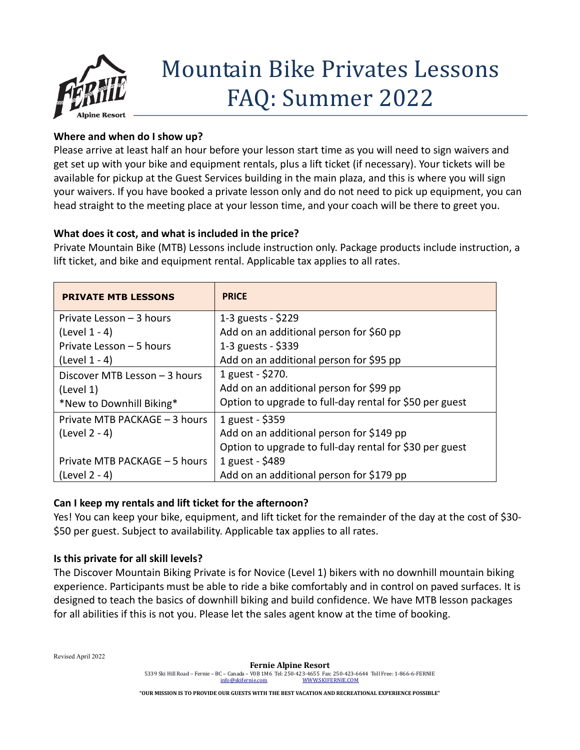

# Mountain Bike Privates Lessons FAQ: Summer 2022

## **Where and when do I show up?**

Please arrive at least half an hour before your lesson start time as you will need to sign waivers and get set up with your bike and equipment rentals, plus a lift ticket (if necessary). Your tickets will be available for pickup at the Guest Services building in the main plaza, and this is where you will sign your waivers. If you have booked a private lesson only and do not need to pick up equipment, you can head straight to the meeting place at your lesson time, and your coach will be there to greet you.

## **What does it cost, and what is included in the price?**

Private Mountain Bike (MTB) Lessons include instruction only. Package products include instruction, a lift ticket, and bike and equipment rental. Applicable tax applies to all rates.

| <b>PRIVATE MTB LESSONS</b>    | <b>PRICE</b>                                            |
|-------------------------------|---------------------------------------------------------|
| Private Lesson - 3 hours      | 1-3 guests - \$229                                      |
| $(Level 1 - 4)$               | Add on an additional person for \$60 pp                 |
| Private Lesson - 5 hours      | 1-3 guests - \$339                                      |
| (Level $1 - 4$ )              | Add on an additional person for \$95 pp                 |
| Discover MTB Lesson - 3 hours | 1 guest - \$270.                                        |
| (Level 1)                     | Add on an additional person for \$99 pp                 |
| *New to Downhill Biking*      | Option to upgrade to full-day rental for \$50 per guest |
| Private MTB PACKAGE - 3 hours | 1 guest - \$359                                         |
| $(Level 2 - 4)$               | Add on an additional person for \$149 pp                |
|                               | Option to upgrade to full-day rental for \$30 per guest |
| Private MTB PACKAGE - 5 hours | 1 guest - \$489                                         |
| (Level 2 - 4)                 | Add on an additional person for \$179 pp                |

## **Can I keep my rentals and lift ticket for the afternoon?**

Yes! You can keep your bike, equipment, and lift ticket for the remainder of the day at the cost of \$30- \$50 per guest. Subject to availability. Applicable tax applies to all rates.

#### **Is this private for all skill levels?**

The Discover Mountain Biking Private is for Novice (Level 1) bikers with no downhill mountain biking experience. Participants must be able to ride a bike comfortably and in control on paved surfaces. It is designed to teach the basics of downhill biking and build confidence. We have MTB lesson packages for all abilities if this is not you. Please let the sales agent know at the time of booking.

Revised April 2022

**"OUR MISSION IS TO PROVIDE OUR GUESTS WITH THE BEST VACATION AND RECREATIONAL EXPERIENCE POSSIBLE"**